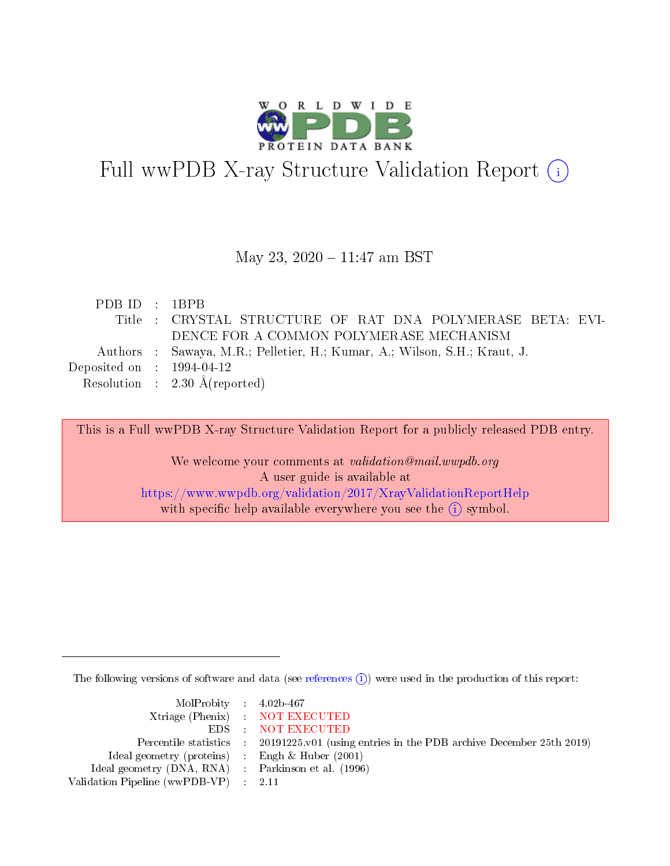

# Full wwPDB X-ray Structure Validation Report (i)

#### May 23, 2020 - 11:47 am BST

| PDBID : 1BPB                         |                                                                           |
|--------------------------------------|---------------------------------------------------------------------------|
|                                      | Title : CRYSTAL STRUCTURE OF RAT DNA POLYMERASE BETA: EVI-                |
|                                      | DENCE FOR A COMMON POLYMERASE MECHANISM                                   |
|                                      | Authors : Sawaya, M.R.; Pelletier, H.; Kumar, A.; Wilson, S.H.; Kraut, J. |
| Deposited on $\therefore$ 1994-04-12 |                                                                           |
|                                      | Resolution : $2.30 \text{ Å}$ (reported)                                  |

This is a Full wwPDB X-ray Structure Validation Report for a publicly released PDB entry.

We welcome your comments at validation@mail.wwpdb.org A user guide is available at <https://www.wwpdb.org/validation/2017/XrayValidationReportHelp> with specific help available everywhere you see the  $(i)$  symbol.

The following versions of software and data (see [references](https://www.wwpdb.org/validation/2017/XrayValidationReportHelp#references)  $\overline{(1)}$ ) were used in the production of this report:

| $MolProbability$ 4.02b-467                          |                                                                    |
|-----------------------------------------------------|--------------------------------------------------------------------|
|                                                     | Xtriage (Phenix) NOT EXECUTED                                      |
|                                                     | EDS : NOT EXECUTED                                                 |
| Percentile statistics :                             | 20191225.v01 (using entries in the PDB archive December 25th 2019) |
| Ideal geometry (proteins) :                         | Engh $\&$ Huber (2001)                                             |
| Ideal geometry (DNA, RNA) : Parkinson et al. (1996) |                                                                    |
| Validation Pipeline (wwPDB-VP) : 2.11               |                                                                    |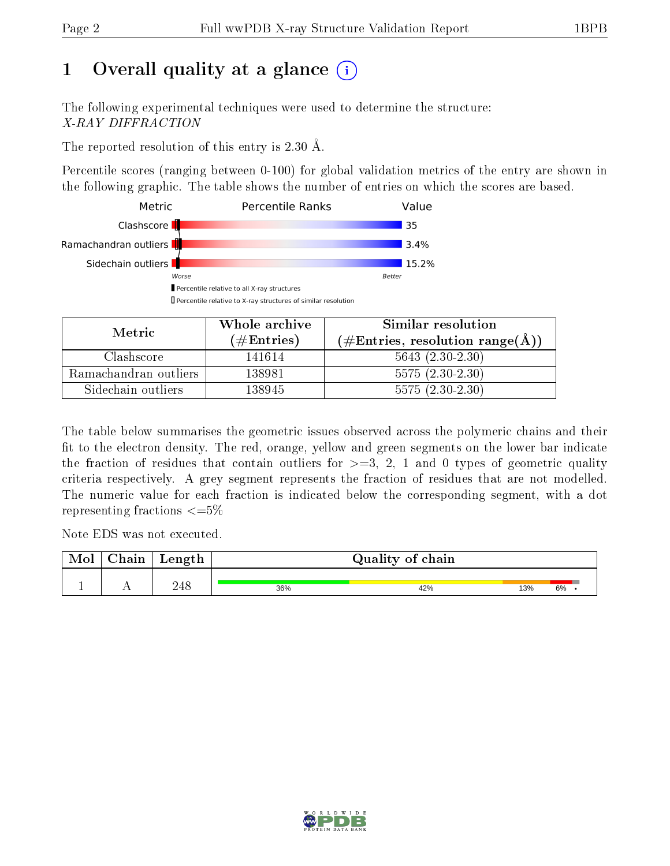## 1 [O](https://www.wwpdb.org/validation/2017/XrayValidationReportHelp#overall_quality)verall quality at a glance  $(i)$

The following experimental techniques were used to determine the structure: X-RAY DIFFRACTION

The reported resolution of this entry is 2.30 Å.

Percentile scores (ranging between 0-100) for global validation metrics of the entry are shown in the following graphic. The table shows the number of entries on which the scores are based.



| Metric                | Whole archive       | Similar resolution                                 |  |  |
|-----------------------|---------------------|----------------------------------------------------|--|--|
|                       | (# $\rm{Entries}$ ) | $(\text{\#Entries, resolution range}(\text{\AA}))$ |  |  |
| Clashscore            | 141614              | $5643 (2.30-2.30)$                                 |  |  |
| Ramachandran outliers | 138981              | $5575(2.30-2.30)$                                  |  |  |
| Sidechain outliers    | 138945              | $5575(2.30-2.30)$                                  |  |  |

The table below summarises the geometric issues observed across the polymeric chains and their fit to the electron density. The red, orange, yellow and green segments on the lower bar indicate the fraction of residues that contain outliers for  $\geq=3$ , 2, 1 and 0 types of geometric quality criteria respectively. A grey segment represents the fraction of residues that are not modelled. The numeric value for each fraction is indicated below the corresponding segment, with a dot representing fractions  $\epsilon = 5\%$ 

Note EDS was not executed.

| <b>NIOI</b> | $\cap$ hain | Length |     | Quality of chain |     |    |
|-------------|-------------|--------|-----|------------------|-----|----|
|             |             | 248    | 36% | 42%              | 13% | 6% |

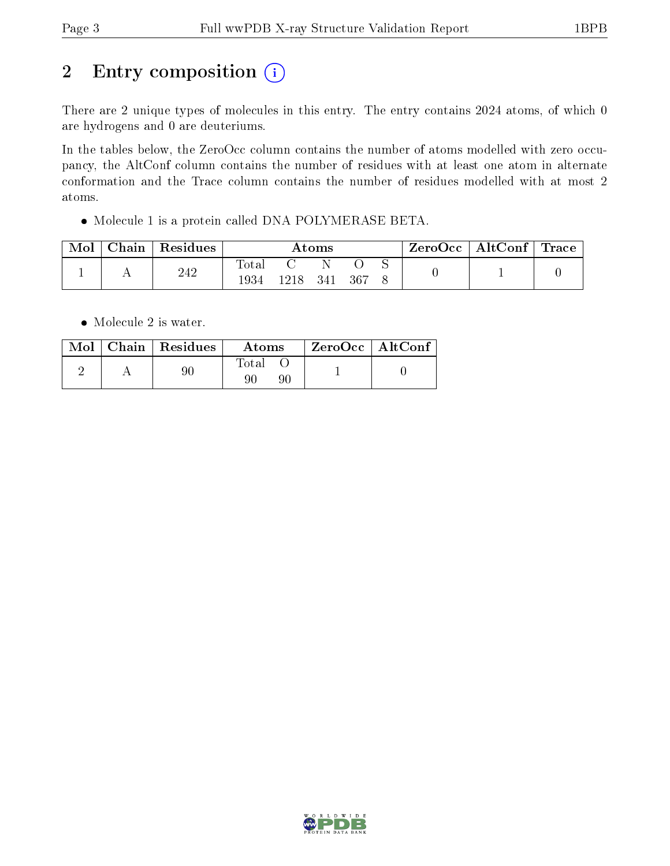# 2 Entry composition (i)

There are 2 unique types of molecules in this entry. The entry contains 2024 atoms, of which 0 are hydrogens and 0 are deuteriums.

In the tables below, the ZeroOcc column contains the number of atoms modelled with zero occupancy, the AltConf column contains the number of residues with at least one atom in alternate conformation and the Trace column contains the number of residues modelled with at most 2 atoms.

Molecule 1 is a protein called DNA POLYMERASE BETA.

| Mol | Chain | $\perp$ Residues | $\bm{\mathrm{Atoms}}$  |       |     |      | $\text{ZeroOcc} \mid \text{AltConf} \mid \text{Trace}$ |  |  |
|-----|-------|------------------|------------------------|-------|-----|------|--------------------------------------------------------|--|--|
|     |       | 242              | $\text{Total}$<br>1934 | 1218. | 341 | -367 |                                                        |  |  |

• Molecule 2 is water.

|  | $Mol$   Chain   Residues | Atoms       | $^\top$ ZeroOcc   AltConf |  |
|--|--------------------------|-------------|---------------------------|--|
|  |                          | Total<br>90 |                           |  |

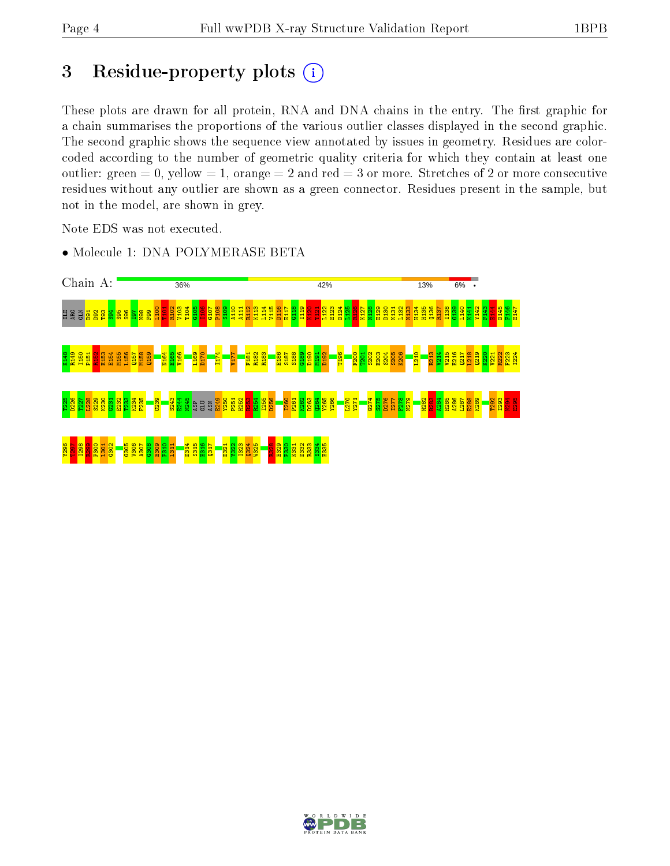## 3 Residue-property plots  $(i)$

These plots are drawn for all protein, RNA and DNA chains in the entry. The first graphic for a chain summarises the proportions of the various outlier classes displayed in the second graphic. The second graphic shows the sequence view annotated by issues in geometry. Residues are colorcoded according to the number of geometric quality criteria for which they contain at least one outlier: green  $= 0$ , yellow  $= 1$ , orange  $= 2$  and red  $= 3$  or more. Stretches of 2 or more consecutive residues without any outlier are shown as a green connector. Residues present in the sample, but not in the model, are shown in grey.

Note EDS was not executed.



• Molecule 1: DNA POLYMERASE BETA

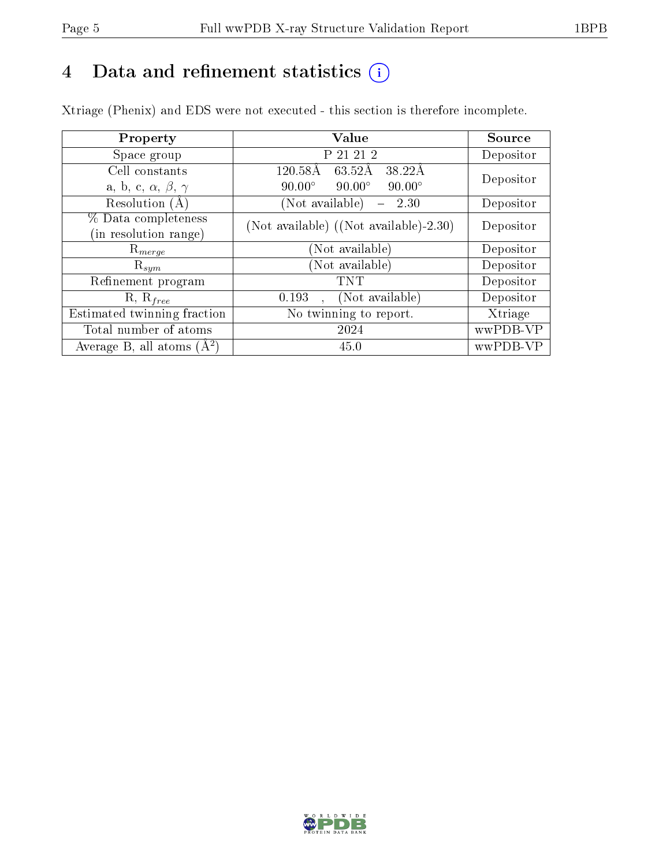## 4 Data and refinement statistics  $(i)$

Xtriage (Phenix) and EDS were not executed - this section is therefore incomplete.

| Property                               | Value                                           | Source    |
|----------------------------------------|-------------------------------------------------|-----------|
| Space group                            | P 21 21 2                                       | Depositor |
| Cell constants                         | $120.58\text{\AA}$<br>38.22Å<br>63.52Å          | Depositor |
| a, b, c, $\alpha$ , $\beta$ , $\gamma$ | $90.00^\circ$<br>$90.00^\circ$<br>$90.00^\circ$ |           |
| Resolution $(A)$                       | (Not available)<br>2.30                         | Depositor |
| % Data completeness                    | (Not available) ((Not available)-2.30)          | Depositor |
| (in resolution range)                  |                                                 |           |
| $\mathrm{R}_{merge}$                   | (Not available)                                 | Depositor |
| $\mathrm{R}_{sym}$                     | (Not available)                                 | Depositor |
| Refinement program                     | TNT                                             | Depositor |
| $R, R_{free}$                          | (Not available)<br>0.193<br>$\Delta \phi$       | Depositor |
| Estimated twinning fraction            | No twinning to report.                          | Xtriage   |
| Total number of atoms                  | 2024                                            | wwPDB-VP  |
| Average B, all atoms $(A^2)$           | 45.0                                            | wwPDB-VP  |

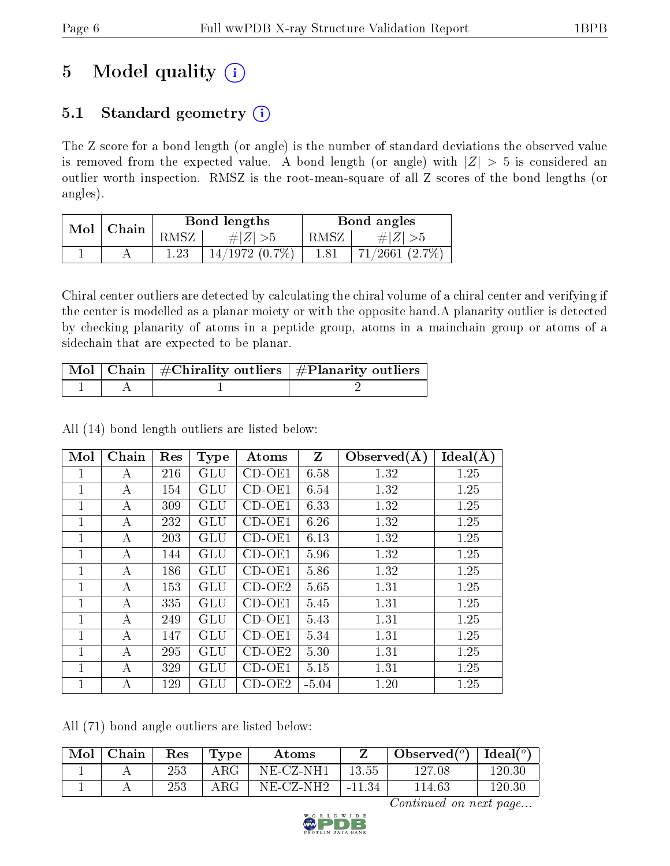# 5 Model quality  $(i)$

## 5.1 Standard geometry  $(i)$

The Z score for a bond length (or angle) is the number of standard deviations the observed value is removed from the expected value. A bond length (or angle) with  $|Z| > 5$  is considered an outlier worth inspection. RMSZ is the root-mean-square of all Z scores of the bond lengths (or angles).

| Mol | Chain |       | Bond lengths        | Bond angles |                          |  |
|-----|-------|-------|---------------------|-------------|--------------------------|--|
|     |       | ' MSZ |                     | RMSZ        | $\# Z $<br>ົ >ວ          |  |
|     |       | റാ    | $14/1972$ $(0.7\%)$ | 1.81        | (2.7%<br>$^{\prime}2661$ |  |

Chiral center outliers are detected by calculating the chiral volume of a chiral center and verifying if the center is modelled as a planar moiety or with the opposite hand.A planarity outlier is detected by checking planarity of atoms in a peptide group, atoms in a mainchain group or atoms of a sidechain that are expected to be planar.

|  | $\lceil$ Mol $\rceil$ Chain $\mid$ #Chirality outliers $\mid$ #Planarity outliers $\mid$ |
|--|------------------------------------------------------------------------------------------|
|  |                                                                                          |

All (14) bond length outliers are listed below:

| Mol          | Chain | Res | <b>Type</b>          | Atoms    | Z       | Observed $(A)$ | Ideal(A) |
|--------------|-------|-----|----------------------|----------|---------|----------------|----------|
| 1            | А     | 216 | <b>GLU</b>           | $CD-OE1$ | 6.58    | 1.32           | 1.25     |
| $\mathbf{1}$ | А     | 154 | GLU                  | $CD-OE1$ | 6.54    | 1.32           | 1.25     |
| 1            | А     | 309 | <b>GLU</b>           | $CD-OE1$ | 6.33    | 1.32           | 1.25     |
| $\mathbf{1}$ | А     | 232 | $\operatorname{GLU}$ | $CD-OE1$ | 6.26    | 1.32           | 1.25     |
| $\mathbf{1}$ | А     | 203 | $\operatorname{GLU}$ | $CD-OE1$ | 6.13    | 1.32           | 1.25     |
| $\mathbf{1}$ | А     | 144 | GLU                  | $CD-OE1$ | 5.96    | 1.32           | 1.25     |
| $\mathbf{1}$ | А     | 186 | GLU                  | $CD-OE1$ | 5.86    | 1.32           | 1.25     |
| 1            | А     | 153 | GLU                  | $CD-OE2$ | 5.65    | 1.31           | 1.25     |
| $\mathbf{1}$ | А     | 335 | GLU                  | $CD-OE1$ | 5.45    | 1.31           | 1.25     |
| 1            | А     | 249 | <b>GLU</b>           | $CD-OE1$ | 5.43    | 1.31           | 1.25     |
| 1            | А     | 147 | <b>GLU</b>           | $CD-OE1$ | 5.34    | 1.31           | 1.25     |
| 1            | А     | 295 | $\operatorname{GLU}$ | $CD-OE2$ | 5.30    | 1.31           | 1.25     |
| 1            | А     | 329 | $\operatorname{GLU}$ | $CD-OE1$ | 5.15    | 1.31           | 1.25     |
| 1            | А     | 129 | GLU                  | $CD-OE2$ | $-5.04$ | 1.20           | 1.25     |

All (71) bond angle outliers are listed below:

| Mol | Chain | Res     | Tvpe       | Atoms        |          | Observed $(°)$ | Ideal $(°)$ |
|-----|-------|---------|------------|--------------|----------|----------------|-------------|
|     |       | 253     | $\rm{ARG}$ | NE-CZ-NH1    | 13.55    | $127.08\,$     | 120.30      |
|     |       | $253\,$ | $\rm{ARG}$ | $NE\_CZ-NH2$ | $-11.34$ | 114.63         | 120.30      |

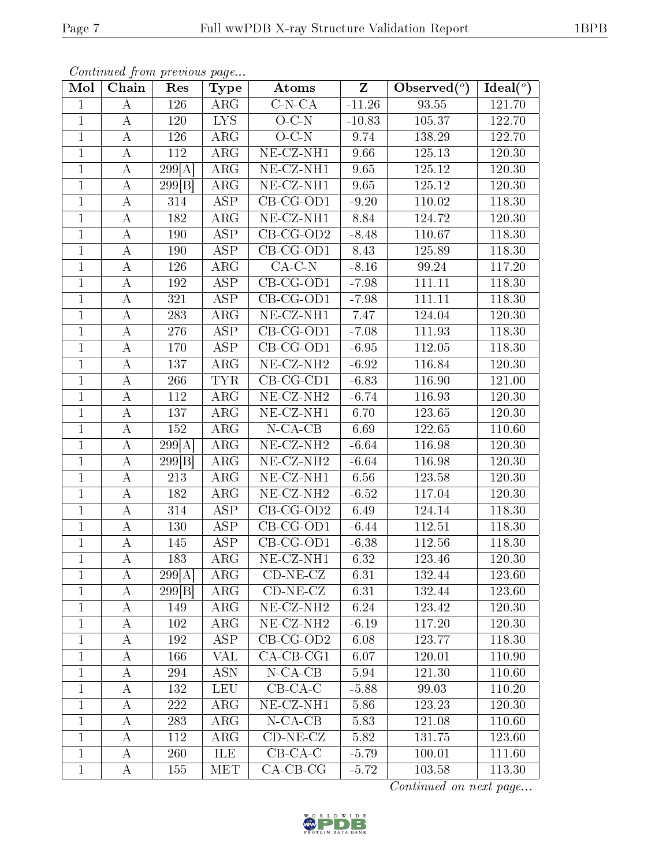| Continued from previous page |  |
|------------------------------|--|

| Mol            | Chain            | Res              | Type                    | Atoms                         | $\overline{\mathbf{Z}}$ | Observed $\overline{({}^{\circ})}$ | Ideal $(°)$ |
|----------------|------------------|------------------|-------------------------|-------------------------------|-------------------------|------------------------------------|-------------|
| $\mathbf{1}$   | A                | 126              | $\rm{ARG}$              | $\overline{\text{C-N-CA}}$    | $-11.26$                | 93.55                              | 121.70      |
| $\mathbf{1}$   | А                | 120              | <b>LYS</b>              | $O-C-N$                       | $-10.83$                | 105.37                             | 122.70      |
| $\overline{1}$ | $\boldsymbol{A}$ | 126              | $\overline{\text{ARG}}$ | $O-C-N$                       | 9.74                    | 138.29                             | 122.70      |
| 1              | $\bf{A}$         | 112              | $\rm{ARG}$              | $NE$ -CZ-NH1                  | 9.66                    | 125.13                             | 120.30      |
| $\mathbf{1}$   | $\boldsymbol{A}$ | 299[A]           | $\overline{\text{ARG}}$ | $NE$ -CZ-NH1                  | 9.65                    | 125.12                             | 120.30      |
| $\mathbf{1}$   | $\boldsymbol{A}$ | 299 B            | ARG                     | NE-CZ-NH1                     | 9.65                    | 125.12                             | 120.30      |
| $\mathbf{1}$   | $\boldsymbol{A}$ | 314              | $\overline{\text{ASP}}$ | $\overline{\text{CB-CG-OD1}}$ | $-9.20$                 | 110.02                             | 118.30      |
| $\mathbf{1}$   | А                | 182              | ARG                     | $NE$ -CZ-NH1                  | 8.84                    | 124.72                             | 120.30      |
| $\mathbf{1}$   | $\bf{A}$         | 190              | $\overline{\text{ASP}}$ | $\overline{CB-CG\text{-}OD2}$ | $-8.48$                 | 110.67                             | 118.30      |
| $\mathbf{1}$   | А                | 190              | ASP                     | $CB-CG-OD1$                   | 8.43                    | 125.89                             | 118.30      |
| $\mathbf{1}$   | А                | 126              | $\rm{ARG}$              | $CA-C-N$                      | $-8.16$                 | 99.24                              | 117.20      |
| $\mathbf{1}$   | А                | 192              | $\overline{\text{ASP}}$ | $CB-CG-OD1$                   | $-7.98$                 | 111.11                             | 118.30      |
| $\mathbf{1}$   | A                | 321              | <b>ASP</b>              | $CB-CG-OD1$                   | $-7.98$                 | 111.11                             | 118.30      |
| $\mathbf{1}$   | $\boldsymbol{A}$ | 283              | ARG                     | NE-CZ-NH1                     | 7.47                    | 124.04                             | 120.30      |
| $\mathbf{1}$   | А                | 276              | <b>ASP</b>              | $CB-CG-OD1$                   | $-7.08$                 | 111.93                             | 118.30      |
| $\mathbf{1}$   | А                | 170              | $\overline{\text{ASP}}$ | $CB-CG-OD1$                   | $-6.95$                 | 112.05                             | 118.30      |
| $\mathbf{1}$   | $\boldsymbol{A}$ | 137              | ARG                     | $NE-CZ-NH2$                   | $-6.92$                 | 116.84                             | 120.30      |
| $\mathbf{1}$   | $\boldsymbol{A}$ | 266              | <b>TYR</b>              | $CB-CG-CD1$                   | $-6.83$                 | 116.90                             | 121.00      |
| $\mathbf 1$    | $\boldsymbol{A}$ | 112              | ARG                     | $NE- CZ-NH2$                  | $-6.74$                 | 116.93                             | 120.30      |
| $\mathbf{1}$   | $\boldsymbol{A}$ | 137              | $\overline{\text{ARG}}$ | $NE- CZ-NH1$                  | 6.70                    | 123.65                             | 120.30      |
| $\mathbf{1}$   | $\bf{A}$         | 152              | ARG                     | $N$ -CA-CB                    | 6.69                    | 122.65                             | 110.60      |
| $\overline{1}$ | $\boldsymbol{A}$ | 299[A]           | $\overline{\text{ARG}}$ | $NE$ -CZ-NH <sub>2</sub>      | $-6.64$                 | 116.98                             | 120.30      |
| 1              | А                | 299 B            | ARG                     | $NE- CZ-NH2$                  | $-6.64$                 | 116.98                             | 120.30      |
| $\mathbf{1}$   | A                | $\overline{213}$ | ARG                     | $NE$ -CZ-NH1                  | 6.56                    | 123.58                             | 120.30      |
| $\mathbf{1}$   | Α                | 182              | ARG                     | $NE$ -CZ-NH <sub>2</sub>      | $-6.52$                 | 117.04                             | 120.30      |
| $\mathbf{1}$   | $\bf{A}$         | 314              | <b>ASP</b>              | $\overline{CB-CG-OD2}$        | 6.49                    | 124.14                             | 118.30      |
| $\mathbf{1}$   | А                | 130              | $\overline{\text{ASP}}$ | $CB-CG-OD1$                   | $-6.44$                 | 112.51                             | 118.30      |
| $\mathbf{1}$   | $\boldsymbol{A}$ | 145              | <b>ASP</b>              | CB-CG-OD1                     | $-6.38$                 | 112.56                             | 118.30      |
| $\mathbf{1}$   | $\bf{A}$         | 183              | ARG                     | $NE-CZ-NH1$                   | 6.32                    | 123.46                             | 120.30      |
| 1              | A                | 299[A]           | $\rm{ARG}$              | $CD-NE- CZ$                   | 6.31                    | 132.44                             | 123.60      |
| $\mathbf{1}$   | A                | 299 B            | $\rm{ARG}$              | $CD-NE- CZ$                   | 6.31                    | 132.44                             | 123.60      |
| $\mathbf{1}$   | A                | 149              | $\rm{ARG}$              | $NE- CZ-NH2$                  | 6.24                    | 123.42                             | 120.30      |
| $\mathbf{1}$   | A                | 102              | ARG                     | NE-CZ-NH <sub>2</sub>         | $-6.19$                 | 117.20                             | 120.30      |
| $\mathbf{1}$   | A                | 192              | <b>ASP</b>              | $CB-CG-OD2$                   | 6.08                    | 123.77                             | 118.30      |
| $\mathbf{1}$   | A                | 166              | VAL                     | $CA-CB-CG1$                   | 6.07                    | 120.01                             | 110.90      |
| $\mathbf{1}$   | A                | 294              | <b>ASN</b>              | $N-CA-CB$                     | 5.94                    | 121.30                             | 110.60      |
| $\mathbf{1}$   | Α                | 132              | <b>LEU</b>              | $CB-CA-C$                     | $-5.88$                 | 99.03                              | 110.20      |
| 1              | А                | 222              | $\rm{ARG}$              | $NE- CZ-NH1$                  | $5.86\,$                | 123.23                             | 120.30      |
| $\mathbf{1}$   | А                | 283              | ARG                     | $N$ -CA-CB                    | 5.83                    | 121.08                             | 110.60      |
| $\mathbf{1}$   | A                | 112              | $\rm{ARG}$              | $CD-NE- CZ$                   | 5.82                    | 131.75                             | 123.60      |
| $\mathbf{1}$   | Α                | 260              | ILE                     | $CB-CA-C$                     | $-5.79$                 | 100.01                             | 111.60      |
| $\mathbf{1}$   | A                | 155              | MET                     | $CA-CB-CG$                    | $-5.72$                 | 103.58                             | 113.30      |

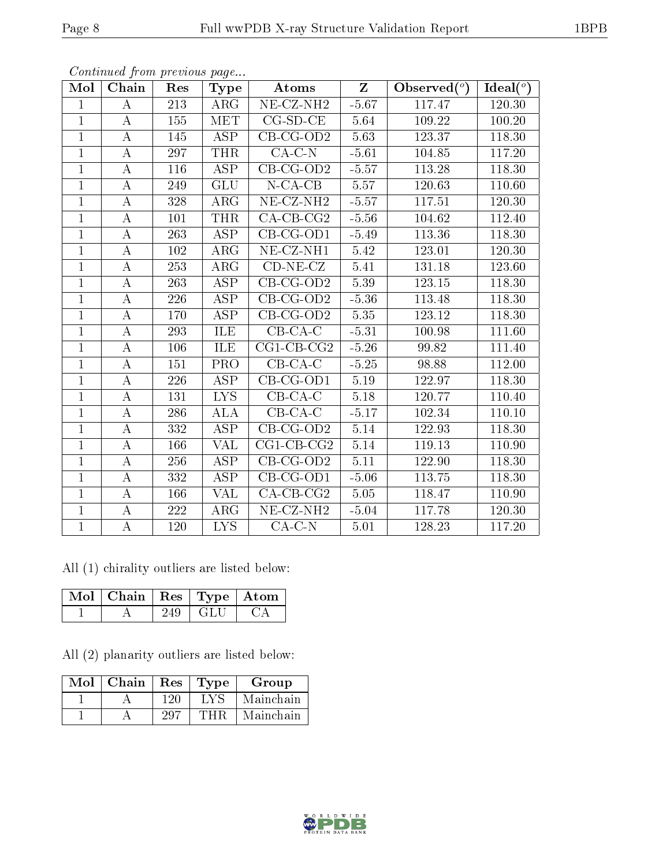| Mol            | Chain            | Res | Type                    | Atoms                   | $Z_{\parallel}$   | Observed $(°)$ | Ideal $(°)$ |
|----------------|------------------|-----|-------------------------|-------------------------|-------------------|----------------|-------------|
| $\mathbf{1}$   | А                | 213 | $\rm{ARG}$              | NE-CZ-NH <sub>2</sub>   | $-5.67$           | 117.47         | 120.30      |
| $\mathbf{1}$   | А                | 155 | MET                     | $CG-SD-CE$              | 5.64              | 109.22         | 100.20      |
| $\mathbf{1}$   | $\bf{A}$         | 145 | <b>ASP</b>              | $CB-CG-OD2$             | 5.63              | 123.37         | 118.30      |
| $\mathbf{1}$   | A                | 297 | <b>THR</b>              | $CA-C-N$                | $-5.61$           | 104.85         | 117.20      |
| $\mathbf{1}$   | A                | 116 | $\overline{\text{ASP}}$ | $CB-CG-OD2$             | $-5.57$           | 113.28         | 118.30      |
| $\overline{1}$ | $\boldsymbol{A}$ | 249 | <b>GLU</b>              | $N$ -CA-CB              | 5.57              | 120.63         | 110.60      |
| $\mathbf{1}$   | $\bf{A}$         | 328 | ARG                     | NE-CZ-NH <sub>2</sub>   | $-5.57$           | 117.51         | 120.30      |
| $\mathbf{1}$   | А                | 101 | <b>THR</b>              | $CA-CB-CG2$             | $-5.56$           | 104.62         | 112.40      |
| $\mathbf{1}$   | A                | 263 | <b>ASP</b>              | $CB-CG-OD1$             | $-5.49$           | 113.36         | 118.30      |
| $\overline{1}$ | A                | 102 | ARG                     | NE-CZ-NH1               | 5.42              | 123.01         | 120.30      |
| $\mathbf{1}$   | А                | 253 | $\rm{ARG}$              | $CD-NE- CZ$             | 5.41              | 131.18         | 123.60      |
| $\overline{1}$ | A                | 263 | <b>ASP</b>              | $CB-CG-OD2$             | 5.39              | 123.15         | 118.30      |
| $\overline{1}$ | A                | 226 | <b>ASP</b>              | $CB-CG-OD2$             | $-5.36$           | 113.48         | 118.30      |
| $\mathbf{1}$   | Α                | 170 | <b>ASP</b>              | $CB-CG-OD2$             | 5.35              | 123.12         | 118.30      |
| $\overline{1}$ | A                | 293 | ILE                     | $CB$ -CA-C              | $-5.31$           | 100.98         | 111.60      |
| $\mathbf{1}$   | A                | 106 | ILE                     | $\overline{CG1-CB-CG2}$ | $-5.26$           | 99.82          | 111.40      |
| $\mathbf{1}$   | Α                | 151 | <b>PRO</b>              | $CB-CA-C$               | $-5.25$           | 98.88          | 112.00      |
| $\overline{1}$ | $\boldsymbol{A}$ | 226 | <b>ASP</b>              | $CB-CG-OD1$             | 5.19              | 122.97         | 118.30      |
| $\mathbf{1}$   | A                | 131 | <b>LYS</b>              | $CB-CA-C$               | $5.18\,$          | 120.77         | 110.40      |
| $\mathbf{1}$   | А                | 286 | <b>ALA</b>              | $CB-CA-C$               | $-5.17$           | 102.34         | 110.10      |
| $\overline{1}$ | $\boldsymbol{A}$ | 332 | ASP                     | $CB-CG-OD2$             | 5.14              | 122.93         | 118.30      |
| $\overline{1}$ | $\bf{A}$         | 166 | $\overline{\text{VAL}}$ | $CG1$ -CB-CG2           | $\overline{5.14}$ | 119.13         | 110.90      |
| $\mathbf{1}$   | Α                | 256 | <b>ASP</b>              | $CB-CG-OD2$             | 5.11              | 122.90         | 118.30      |
| $\overline{1}$ | A                | 332 | ASP                     | $CB-CG-OD1$             | $-5.06$           | 113.75         | 118.30      |
| $\mathbf{1}$   | А                | 166 | <b>VAL</b>              | $CA$ -CB-CG2            | 5.05              | 118.47         | 110.90      |
| $\mathbf{1}$   | А                | 222 | $\rm{ARG}$              | NE-CZ-NH <sub>2</sub>   | $-5.04$           | 117.78         | 120.30      |
| $\mathbf{1}$   | А                | 120 | <b>LYS</b>              | $CA-C-N$                | 5.01              | 128.23         | 117.20      |

All (1) chirality outliers are listed below:

| Mol   Chain   Res   Type   Atom |         |  |
|---------------------------------|---------|--|
|                                 | . GLU - |  |

All (2) planarity outliers are listed below:

| Mol | $\mid$ Chain | Res  | Type | Group     |
|-----|--------------|------|------|-----------|
|     |              | 126  | LY S | Mainchain |
|     |              | -297 |      | Mainchain |

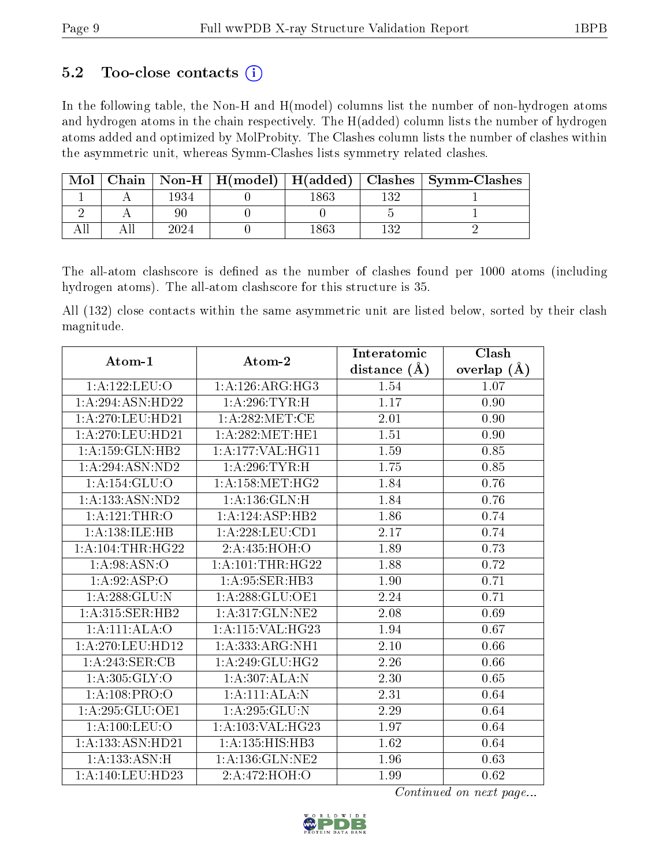### 5.2 Too-close contacts  $(i)$

In the following table, the Non-H and H(model) columns list the number of non-hydrogen atoms and hydrogen atoms in the chain respectively. The H(added) column lists the number of hydrogen atoms added and optimized by MolProbity. The Clashes column lists the number of clashes within the asymmetric unit, whereas Symm-Clashes lists symmetry related clashes.

| Mol |      |  | Chain   Non-H   H(model)   H(added)   Clashes   Symm-Clashes |
|-----|------|--|--------------------------------------------------------------|
|     | 1934 |  |                                                              |
|     |      |  |                                                              |
|     | 2024 |  |                                                              |

The all-atom clashscore is defined as the number of clashes found per 1000 atoms (including hydrogen atoms). The all-atom clashscore for this structure is 35.

All (132) close contacts within the same asymmetric unit are listed below, sorted by their clash magnitude.

| Atom-1                | Atom-2                        | Interatomic      | Clash         |
|-----------------------|-------------------------------|------------------|---------------|
|                       |                               | distance $(\AA)$ | overlap $(A)$ |
| 1: A: 122: LEU: O     | 1:A:126:ARG:HG3               | 1.54             | 1.07          |
| 1:A:294:ASN:HD22      | 1:A:296:TYR:H                 | 1.17             | 0.90          |
| $1:$ A:270:LEU:HD21   | 1:A:282:MET:CE                | 2.01             | 0.90          |
| 1:A:270:LEU:HD21      | 1: A:282:MET:HE1              | 1.51             | 0.90          |
| 1:A:159:GLN:HB2       | 1:A:177:VAL:HG11              | 1.59             | 0.85          |
| 1:A:294:ASN:ND2       | 1:A:296:TYR:H                 | 1.75             | 0.85          |
| 1: A:154: GLU:O       | 1: A: 158: MET:HG2            | 1.84             | 0.76          |
| 1:A:133:ASN:ND2       | 1: A: 136: GLN: H             | 1.84             | 0.76          |
| 1: A:121:THR:O        | 1:A:124:ASP:HB2               | 1.86             | 0.74          |
| 1:A:138:ILE:HB        | 1: A:228:LEU:CD1              | 2.17             | 0.74          |
| $1:A:104$ : THR: HG22 | 2: A: 435: HOH: O             | 1.89             | 0.73          |
| 1: A:98: ASN:O        | $1: A: 101: \text{THR}: HG22$ | 1.88             | 0.72          |
| 1:A:92:ASP:O          | 1: A:95: SER:HB3              | 1.90             | 0.71          |
| 1: A:288: GLU:N       | 1: A:288: GLU:OE1             | 2.24             | 0.71          |
| 1:A:315:SER:HB2       | 1:A:317:GLN:NE2               | 2.08             | 0.69          |
| 1:A:111:ALA:O         | 1:A:115:VAL:HG23              | 1.94             | 0.67          |
| 1:A:270:LEU:HD12      | 1:A:333:ARG:NH1               | 2.10             | 0.66          |
| 1:A:243:SER:CB        | 1: A:249: GLU:HG2             | 2.26             | 0.66          |
| 1: A: 305: GLY: O     | 1:A:307:ALA:N                 | 2.30             | 0.65          |
| 1: A: 108: PRO: O     | 1:A:111:ALA:N                 | 2.31             | 0.64          |
| 1: A:295: GLU:OE1     | 1: A:295: GLU:N               | $2.29\,$         | 0.64          |
| 1: A: 100: LEU: O     | 1:A:103:VAL:HG23              | 1.97             | 0.64          |
| 1:A:133:ASN:HD21      | 1: A: 135: HIS: HB3           | 1.62             | 0.64          |
| 1: A: 133: ASN:H      | 1: A: 136: GLN: NE2           | 1.96             | 0.63          |
| 1:A:140:LEU:HD23      | 2:A:472:HOH:O                 | 1.99             | 0.62          |

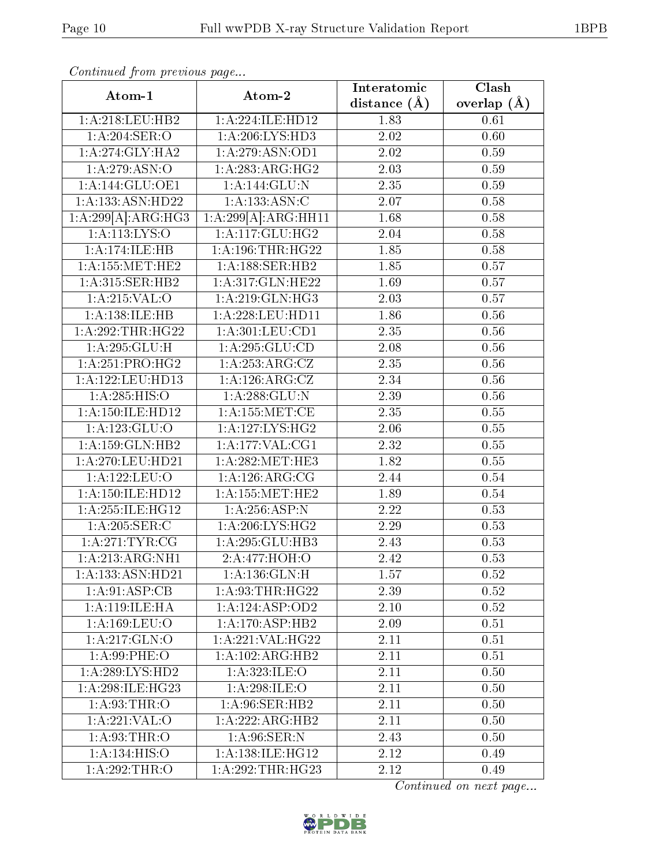| Atom-1               | Atom-2                     | Interatomic       | Clash         |
|----------------------|----------------------------|-------------------|---------------|
|                      |                            | distance $(\AA)$  | overlap $(A)$ |
| 1: A:218:LEU:HB2     | 1:A:224:ILE:HD12           | 1.83              | 0.61          |
| 1:A:204:SER:O        | 1: A:206: LYS:HD3          | 2.02              | 0.60          |
| 1:A:274:GLY:HA2      | 1:A:279:ASN:OD1            | 2.02              | 0.59          |
| 1:A:279:ASN:O        | 1:A:283:ARG:HG2            | 2.03              | 0.59          |
| 1:A:144:GLU:OE1      | $1:A:144:\overline{GLU:N}$ | 2.35              | 0.59          |
| 1:A:133:ASN:HD22     | 1: A: 133: ASN: C          | 2.07              | 0.58          |
| 1:A:299[A]:ARG:HG3   | 1:A:299[A]:ARG:HH11        | 1.68              | 0.58          |
| 1:A:113:LYS:O        | 1:A:117:GLU:HG2            | 2.04              | 0.58          |
| 1:A:174:ILE:HB       | 1: A: 196: THR: HG22       | 1.85              | 0.58          |
| 1: A: 155: MET: HE2  | 1: A: 188: SER: HB2        | 1.85              | 0.57          |
| 1: A:315: SER: HB2   | 1:A:317:GLN:HE22           | 1.69              | 0.57          |
| 1: A:215: VAL:O      | 1: A:219: GLN: HG3         | 2.03              | 0.57          |
| 1:A:138:ILE:HB       | 1: A:228:LEU:HD11          | 1.86              | 0.56          |
| 1:A:292:THR:HG22     | 1:A:301:LEU:CD1            | 2.35              | $0.56\,$      |
| 1: A:295: GLU: H     | 1:A:295:GLU:CD             | 2.08              | 0.56          |
| 1:A:251:PRO:HG2      | 1: A: 253: ARG: CZ         | 2.35              | 0.56          |
| 1:A:122:LEU:HD13     | 1:A:126:ARG:CZ             | 2.34              | 0.56          |
| 1: A:285: HIS:O      | 1: A:288: GLU:N            | 2.39              | 0.56          |
| 1: A: 150: ILE: HD12 | 1: A: 155: MET:CE          | 2.35              | 0.55          |
| 1:A:123:GLU:O        | 1: A: 127: LYS: HG2        | 2.06              | 0.55          |
| 1:A:159:GLN:HB2      | 1:A:177:VAL:CG1            | $\overline{2.32}$ | 0.55          |
| 1:A:270:LEU:HD21     | 1: A:282:MET:HE3           | 1.82              | 0.55          |
| 1:A:122:LEU:O        | 1: A:126:ARG:CG            | 2.44              | 0.54          |
| 1: A: 150: ILE: HD12 | 1:A:155:MET:HE2            | 1.89              | 0.54          |
| 1: A:255: ILE:HG12   | 1:A:256:ASP:N              | 2.22              | 0.53          |
| 1: A:205: SER: C     | 1:A:206:LYS:HG2            | 2.29              | 0.53          |
| 1: A:271:TYR:CG      | 1:A:295:GLU:HB3            | 2.43              | 0.53          |
| 1:A:213:ARG:NH1      | 2:A:477:HOH:O              | 2.42              | 0.53          |
| 1:A:133:ASN:HD21     | 1: A: 136: GLN: H          | 1.57              | 0.52          |
| 1:A:91:ASP:CB        | 1: A:93:THR:HG22           | 2.39              | 0.52          |
| 1: A:119: ILE: HA    | 1:A:124:ASP:OD2            | 2.10              | 0.52          |
| 1:A:169:LEU:O        | 1: A:170: ASP:HB2          | 2.09              | 0.51          |
| $1:$ A:217:GLN:O     | 1:A:221:VAL:HG22           | 2.11              | 0.51          |
| 1:A:99:PHE:O         | 1:A:102:ARG:HB2            | 2.11              | 0.51          |
| 1:A:289:LYS:HD2      | 1:A:323:ILE:O              | 2.11              | 0.50          |
| 1: A:298: ILE:HG23   | 1: A:298: ILE:O            | 2.11              | 0.50          |
| 1: A:93:THR:O        | 1: A:96: SER: HB2          | 2.11              | 0.50          |
| 1:A:221:VAL:O        | 1:A:222:ARG:HB2            | 2.11              | 0.50          |
| 1: A:93:THR:O        | 1: A:96: SER: N            | 2.43              | 0.50          |
| 1:A:134:HIS:O        | 1: A: 138: ILE: HG12       | 2.12              | 0.49          |
| 1: A:292:THR:O       | 1:A:292:THR:HG23           | 2.12              | 0.49          |

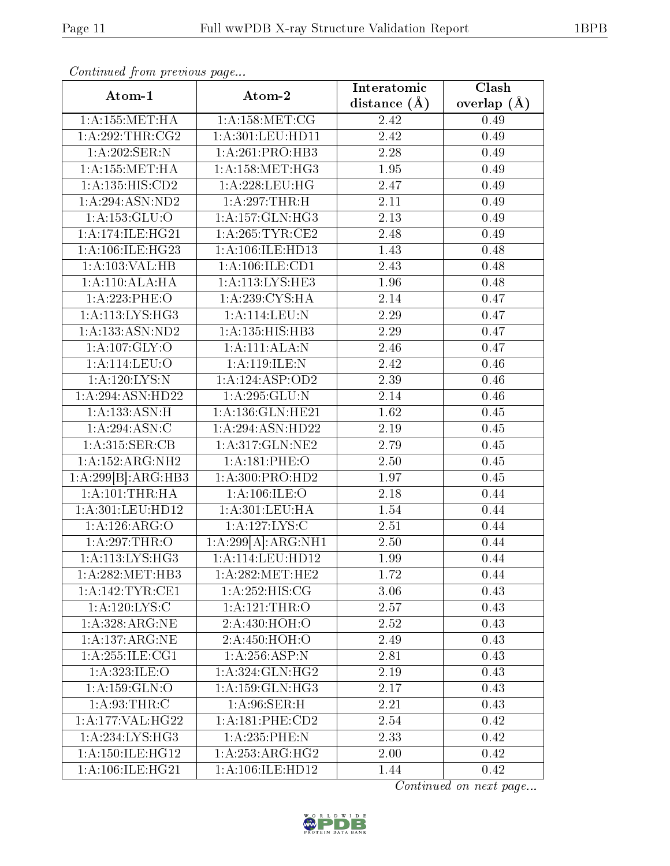| Atom-1                     | Atom-2                                        | Interatomic    | Clash         |
|----------------------------|-----------------------------------------------|----------------|---------------|
|                            |                                               | distance $(A)$ | overlap $(A)$ |
| 1: A: 155: MET: HA         | 1: A: 158: MET: CG                            | 2.42           | 0.49          |
| 1:A:292:THR:CG2            | 1:A:301:LEU:HD11                              | 2.42           | 0.49          |
| 1: A:202: SER: N           | 1:A:261:PRO:HB3                               | 2.28           | 0.49          |
| 1: A: 155: MET: HA         | 1: A:158:MET:HG3                              | 1.95           | 0.49          |
| 1: A: 135: HIS: CD2        | $1:A:228:\overline{\textrm{LEU}:\textrm{HG}}$ | 2.47           | 0.49          |
| 1:A:294:ASN:ND2            | 1:A:297:THR:H                                 | 2.11           | 0.49          |
| 1: A: 153: GLU: O          | 1: A: 157: GLN: HG3                           | 2.13           | 0.49          |
| 1: A:174: ILE: HG21        | 1: A:265:TYR:CE2                              | 2.48           | 0.49          |
| 1: A:106: ILE:HG23         | 1:A:106:ILE:HD13                              | 1.43           | 0.48          |
| 1:A:103:VAL:HB             | 1: A: 106: ILE: CD1                           | 2.43           | 0.48          |
| 1: A:110:ALA:HA            | 1:A:113:LYS:HE3                               | 1.96           | 0.48          |
| 1:A:223:PHE:O              | 1: A:239: CYS: HA                             | 2.14           | 0.47          |
| 1: A: 113: LYS: HG3        | 1: A: 114: LEU: N                             | 2.29           | 0.47          |
| 1:A:133:ASN:ND2            | 1:A:135:HIS:HB3                               | 2.29           | 0.47          |
| 1: A: 107: GLY: O          | 1:A:111:ALA:N                                 | 2.46           | 0.47          |
| 1:A:114:LEU:O              | 1: A:119: ILE:N                               | 2.42           | 0.46          |
| 1: A:120: LYS:N            | 1:A:124:ASP:OD2                               | 2.39           | 0.46          |
| 1: A:294: ASN: HD22        | 1: A:295: GLU:N                               | 2.14           | 0.46          |
| 1: A: 133: ASN:H           | 1:A:136:GLN:HE21                              | 1.62           | 0.45          |
| 1:A:294:ASN:C              | 1:A:294:ASN:HD22                              | 2.19           | 0.45          |
| 1:A:315:SER:CB             | 1:A:317:GLN:NE2                               | 2.79           | 0.45          |
| 1:A:152:ARG:NH2            | 1:A:181:PHE:O                                 | 2.50           | 0.45          |
| 1:A:299[B]:ARG:HB3         | 1: A:300: PRO:HD2                             | 1.97           | 0.45          |
| 1: A: 101:THR: HA          | 1:A:106:ILE:O                                 | 2.18           | 0.44          |
| 1:A:301:LEU:HD12           | 1: A:301:LEU:HA                               | 1.54           | 0.44          |
| 1:A:126:ARG:O              | 1:A:127:LYS:C                                 | 2.51           | 0.44          |
| 1: A:297:THR:O             | $1:A:299[A]\overline{:\!ARG:NH1}$             | 2.50           | 0.44          |
| 1: A: 113: LYS: HG3        | 1:A:114:LEU:HD12                              | 1.99           | 0.44          |
| 1: A:282:MET:HB3           | 1: A:282:MET:HE2                              | 1.72           | 0.44          |
| 1: A:142:TYR:CE1           | 1: A: 252: HIS: CG                            | 3.06           | 0.43          |
| $1:A:\overline{120:LYS:C}$ | 1:A:121:THR:O                                 | 2.57           | 0.43          |
| 1:A:328:ARG:NE             | 2:A:430:HOH:O                                 | 2.52           | 0.43          |
| 1:A:137:ARG:NE             | 2:A:450:HOH:O                                 | 2.49           | 0.43          |
| 1:A:255:ILE:CG1            | 1:A:256:ASP:N                                 | 2.81           | 0.43          |
| 1: A:323: ILE: O           | 1: A:324: GLN: HG2                            | 2.19           | 0.43          |
| 1: A: 159: GLN:O           | 1: A: 159: GLN: HG3                           | 2.17           | 0.43          |
| 1:A:93:THR:C               | 1: A:96: SER:H                                | 2.21           | 0.43          |
| 1:A:177:VAL:HG22           | 1: A:181:PHE:CD2                              | 2.54           | 0.42          |
| 1:A:234:LYS:HG3            | 1:A:235:PHE:N                                 | 2.33           | 0.42          |
| 1: A:150: ILE:HG12         | 1:A:253:ARG:HG2                               | 2.00           | 0.42          |
| 1: A:106: ILE: HG21        | 1:A:106:ILE:HD12                              | 1.44           | 0.42          |

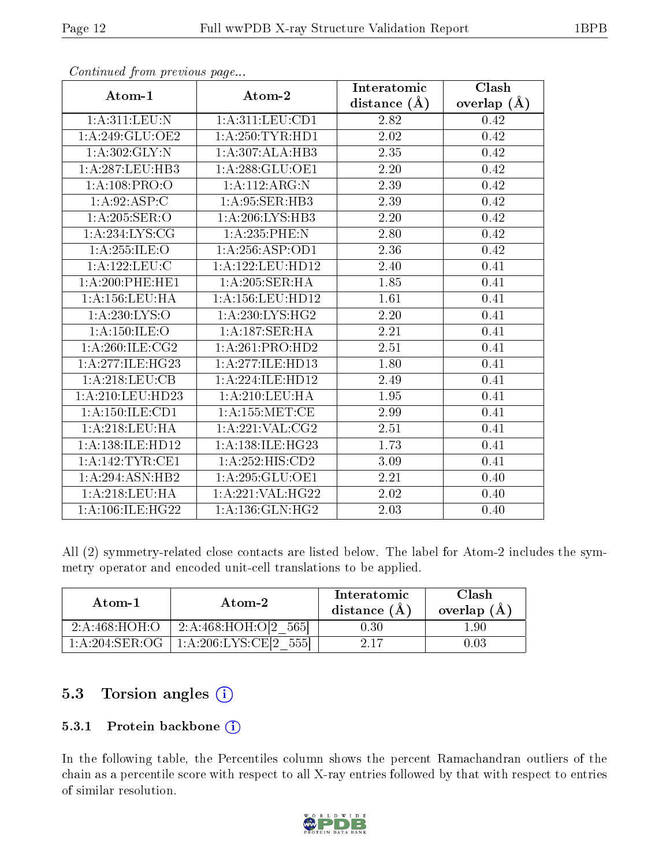| Atom-1              | Atom-2               | Interatomic      | Clash         |
|---------------------|----------------------|------------------|---------------|
|                     |                      | distance $(\AA)$ | overlap $(A)$ |
| 1: A:311:LEU: N     | 1: A:311: LEU: CD1   | 2.82             | 0.42          |
| 1:A:249:GLU:OE2     | 1: A:250: TYR: HD1   | 2.02             | 0.42          |
| 1:A:302:GLY:N       | 1:A:307:ALA:HB3      | 2.35             | 0.42          |
| 1: A:287:LEU:HB3    | 1: A:288: GLU:OE1    | 2.20             | 0.42          |
| 1: A: 108: PRO: O   | 1:A:112:ARG:N        | 2.39             | 0.42          |
| 1: A:92: ASP:C      | 1: A:95: SER:HB3     | 2.39             | 0.42          |
| 1:A:205:SER:O       | 1: A:206:LYS:HB3     | 2.20             | 0.42          |
| 1: A:234: LYS: CG   | 1:A:235:PHE:N        | $2.80\,$         | 0.42          |
| 1: A:255: ILE: O    | 1:A:256:ASP:OD1      | 2.36             | 0.42          |
| 1:A:122:LEU:C       | 1:A:122:LEU:HD12     | 2.40             | 0.41          |
| 1: A:200: PHE:HE1   | 1:A:205:SER:HA       | 1.85             | 0.41          |
| 1: A: 156: LEU: HA  | 1: A: 156: LEU: HD12 | 1.61             | 0.41          |
| 1: A:230: LYS:O     | 1:A:230:LYS:HG2      | 2.20             | 0.41          |
| 1: A: 150: ILE: O   | 1:A:187:SER:HA       | 2.21             | 0.41          |
| 1: A:260: ILE: CG2  | 1:A:261:PRO:HD2      | 2.51             | 0.41          |
| 1:A:277:ILE:HG23    | 1:A:277:ILE:HD13     | 1.80             | 0.41          |
| 1: A:218:LEU:CB     | 1:A:224:ILE:HD12     | 2.49             | 0.41          |
| 1:A:210:LEU:HD23    | 1: A:210:LEU:HA      | 1.95             | 0.41          |
| 1: A: 150: ILE: CD1 | 1: A: 155: MET:CE    | 2.99             | 0.41          |
| 1: A:218:LEU:HA     | 1: A:221: VAL:CG2    | 2.51             | 0.41          |
| 1:A:138:ILE:HD12    | 1:A:138:ILE:HG23     | 1.73             | 0.41          |
| 1:A:142:TYR:CE1     | 1:A:252:HIS:CD2      | 3.09             | 0.41          |
| 1: A:294:ASN:HB2    | 1: A:295: GLU:OE1    | 2.21             | 0.40          |
| 1:A:218:LEU:HA      | 1:A:221:VAL:HG22     | 2.02             | 0.40          |
| 1: A:106: ILE:HG22  | 1: A: 136: GLN: HG2  | 2.03             | 0.40          |

All (2) symmetry-related close contacts are listed below. The label for Atom-2 includes the symmetry operator and encoded unit-cell translations to be applied.

| Atom-1                   | Atom-2                             | Interatomic<br>distance (A) | Clash<br>overlap $(A)$ |
|--------------------------|------------------------------------|-----------------------------|------------------------|
| 2: A:468:HOH:O           | 2:A:468:HOH:O[2<br>565             | 0.30                        | - 90                   |
| $1:\!A:\!204:\!SER:\!OG$ | $1:\!A:\!206:\!LYS:\!CE[2]$<br>555 | 217                         | 03 (                   |

### 5.3 Torsion angles (i)

#### 5.3.1 Protein backbone (i)

In the following table, the Percentiles column shows the percent Ramachandran outliers of the chain as a percentile score with respect to all X-ray entries followed by that with respect to entries of similar resolution.

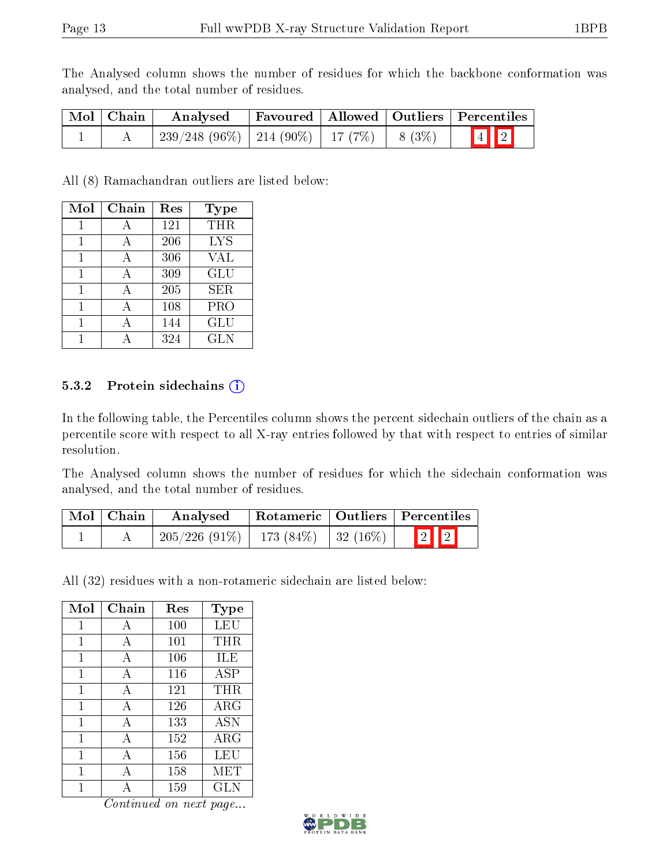The Analysed column shows the number of residues for which the backbone conformation was analysed, and the total number of residues.

| Mol   Chain | Analysed                                           |  | Favoured   Allowed   Outliers   Percentiles |
|-------------|----------------------------------------------------|--|---------------------------------------------|
|             | $239/248$ (96\%)   214 (90\%)   17 (7\%)   8 (3\%) |  | $\boxed{4}$ $\boxed{2}$                     |

All (8) Ramachandran outliers are listed below:

| Mol | Chain | Res | <b>Type</b> |
|-----|-------|-----|-------------|
| 1   | А     | 121 | THR         |
| 1   | А     | 206 | <b>LYS</b>  |
|     |       | 306 | <b>VAL</b>  |
|     |       | 309 | <b>GLU</b>  |
|     |       | 205 | <b>SER</b>  |
|     | А     | 108 | PRO         |
|     |       | 144 | GLU         |
|     |       | 324 | GLN         |

#### 5.3.2 Protein sidechains  $(i)$

In the following table, the Percentiles column shows the percent sidechain outliers of the chain as a percentile score with respect to all X-ray entries followed by that with respect to entries of similar resolution.

The Analysed column shows the number of residues for which the sidechain conformation was analysed, and the total number of residues.

| Mol   Chain | Analysed                                  |  | Rotameric   Outliers   Percentiles |
|-------------|-------------------------------------------|--|------------------------------------|
|             | $205/226$ (91\%)   173 (84\%)   32 (16\%) |  | $\boxed{2}$ $\boxed{2}$            |

All (32) residues with a non-rotameric sidechain are listed below:

| Mol | Chain        | Res | <b>Type</b> |
|-----|--------------|-----|-------------|
| 1   | А            | 100 | LEU         |
| 1   | А            | 101 | THR         |
| 1   | А            | 106 | ILE         |
| 1   | А            | 116 | ASP         |
| 1   | А            | 121 | THR.        |
| 1   | A            | 126 | $\rm{ARG}$  |
| 1   | A            | 133 | <b>ASN</b>  |
| 1   | A            | 152 | $\rm{ARG}$  |
| 1   | $\mathbf{A}$ | 156 | LEU         |
| 1   | А            | 158 | MET         |
|     |              | 159 | GLN         |

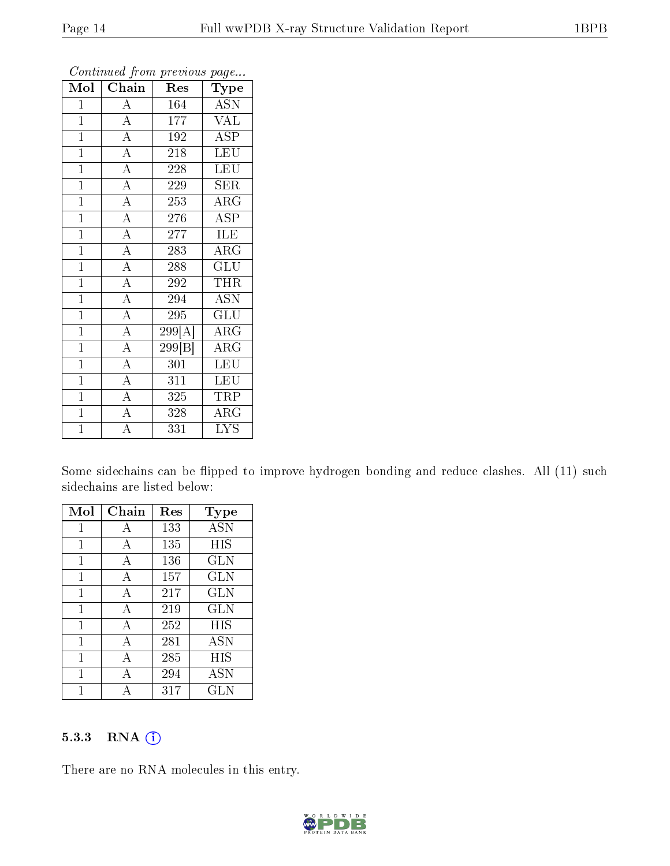| Mol            | Chain              | Res    | Type                      |
|----------------|--------------------|--------|---------------------------|
| $\mathbf{1}$   | $\overline{A}$     | 164    | <b>ASN</b>                |
| $\overline{1}$ | $\overline{A}$     | 177    | <b>VAL</b>                |
| $\mathbf{1}$   | $\overline{A}$     | 192    | $\overline{\text{ASP}}$   |
| $\overline{1}$ | $\overline{A}$     | 218    | $\overline{\text{LEU}}$   |
| $\overline{1}$ | $\overline{A}$     | 228    | <b>LEU</b>                |
| $\mathbf{1}$   | $\overline{A}$     | 229    | SER                       |
| $\overline{1}$ | $\overline{A}$     | 253    | $\rm{ARG}$                |
| $\mathbf{1}$   | $\overline{A}$     | 276    | <b>ASP</b>                |
| $\mathbf{1}$   | $\overline{A}$     | 277    | ILE                       |
| $\overline{1}$ | $\overline{A}$     | 283    | $\overline{\rm{ARG}}$     |
| $\mathbf{1}$   | $\overline{A}$     | 288    | GLU                       |
| $\overline{1}$ | $\overline{A}$     | 292    | THR                       |
| $\overline{1}$ | $\overline{A}$     | 294    | <b>ASN</b>                |
| $\mathbf{1}$   | $\overline{\rm A}$ | 295    | $\overline{\mathrm{GLU}}$ |
| $\mathbf{1}$   | $\overline{A}$     | 299[A] | $\rm{ARG}$                |
| $\mathbf{1}$   | $\overline{A}$     | 299 B  | $\rm{ARG}$                |
| $\mathbf{1}$   | $\overline{A}$     | 301    | <b>LEU</b>                |
| $\mathbf{1}$   | $\overline{A}$     | 311    | <b>LEU</b>                |
| $\mathbf{1}$   | $\overline{\rm A}$ | 325    | TRP                       |
| $\overline{1}$ | $\overline{A}$     | 328    | $\overline{\text{ARG}}$   |
| $\overline{1}$ | $\overline{\rm A}$ | 331    | <b>LYS</b>                |

Some sidechains can be flipped to improve hydrogen bonding and reduce clashes. All (11) such sidechains are listed below:

| Mol | Chain | $\operatorname{Res}% \left( \mathcal{N}\right) \equiv\operatorname{Res}(\mathcal{N}_{0})\cap\mathcal{N}_{1}$ | Type       |
|-----|-------|--------------------------------------------------------------------------------------------------------------|------------|
| 1   | А     | 133                                                                                                          | <b>ASN</b> |
| 1   | A     | 135                                                                                                          | HIS        |
| 1   | A     | 136                                                                                                          | <b>GLN</b> |
| 1   | А     | 157                                                                                                          | <b>GLN</b> |
| 1   | А     | 217                                                                                                          | <b>GLN</b> |
| 1   | А     | 219                                                                                                          | <b>GLN</b> |
| 1   | А     | 252                                                                                                          | HIS        |
| 1   | А     | 281                                                                                                          | ASN        |
| 1   | А     | 285                                                                                                          | HIS        |
| 1   | А     | 294                                                                                                          | <b>ASN</b> |
|     |       | 317                                                                                                          | GLN        |

#### 5.3.3 RNA [O](https://www.wwpdb.org/validation/2017/XrayValidationReportHelp#rna)i

There are no RNA molecules in this entry.

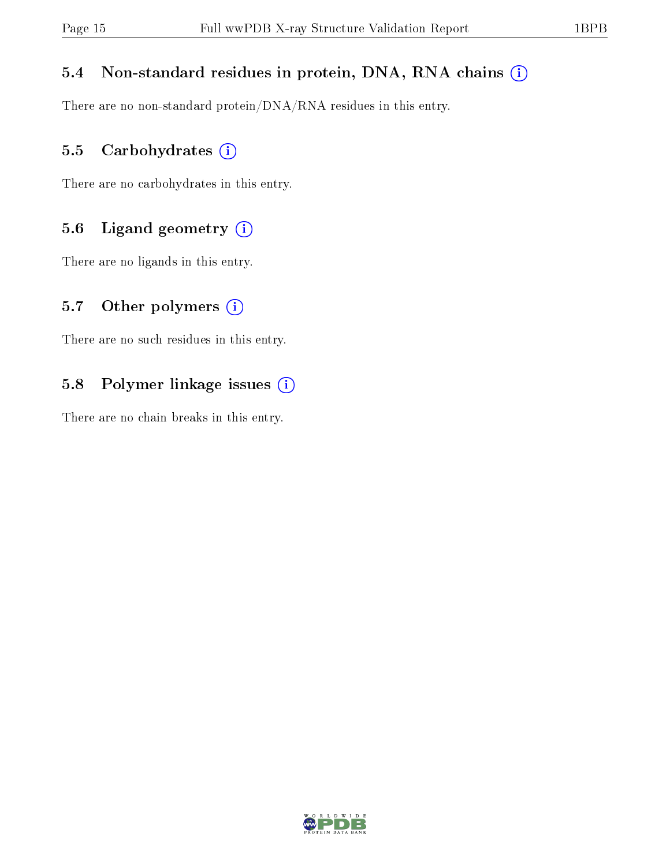#### 5.4 Non-standard residues in protein, DNA, RNA chains (i)

There are no non-standard protein/DNA/RNA residues in this entry.

#### 5.5 Carbohydrates (i)

There are no carbohydrates in this entry.

#### 5.6 Ligand geometry (i)

There are no ligands in this entry.

#### 5.7 [O](https://www.wwpdb.org/validation/2017/XrayValidationReportHelp#nonstandard_residues_and_ligands)ther polymers  $(i)$

There are no such residues in this entry.

#### 5.8 Polymer linkage issues (i)

There are no chain breaks in this entry.